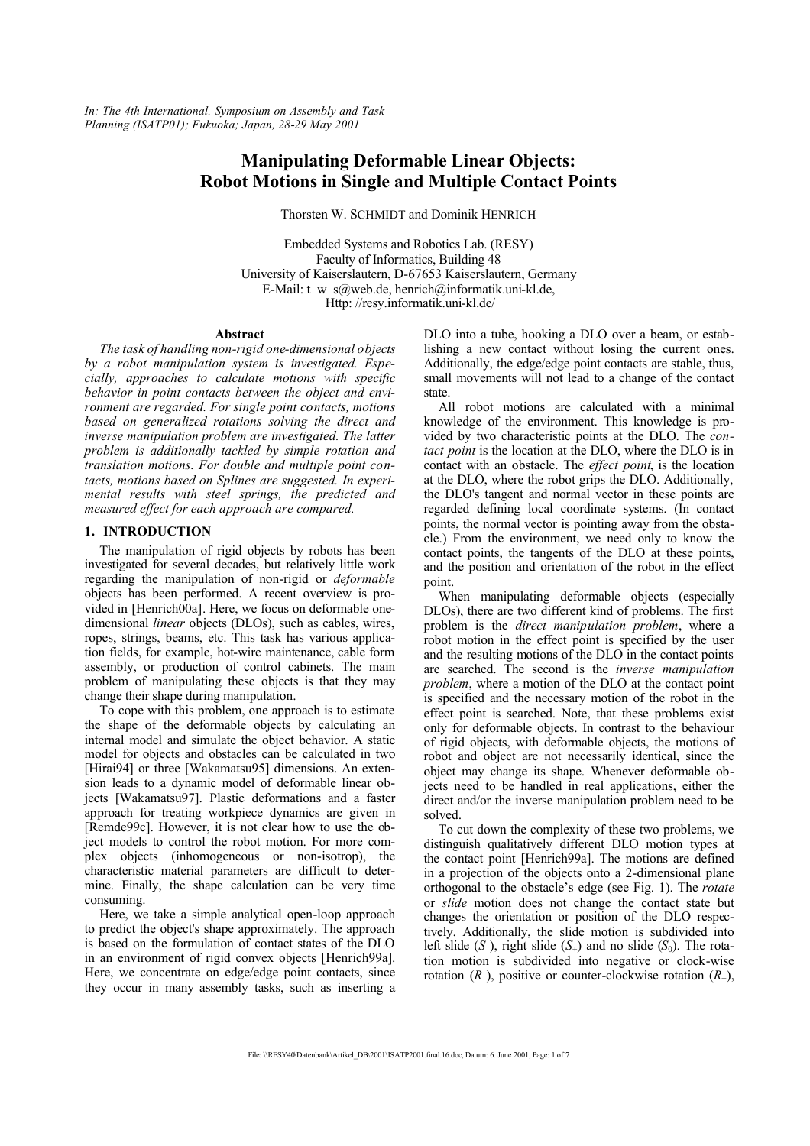*In: The 4th International. Symposium on Assembly and Task Planning (ISATP01); Fukuoka; Japan, 28-29 May 2001*

# **Manipulating Deformable Linear Objects: Robot Motions in Single and Multiple Contact Points**

Thorsten W. SCHMIDT and Dominik HENRICH

Embedded Systems and Robotics Lab. (RESY) Faculty of Informatics, Building 48 University of Kaiserslautern, D-67653 Kaiserslautern, Germany E-Mail: t\_w\_s@web.de, henrich@informatik.uni-kl.de, Http: //resy.informatik.uni-kl.de/

#### **Abstract**

*The task of handling non-rigid one-dimensional objects by a robot manipulation system is investigated. Especially, approaches to calculate motions with specific behavior in point contacts between the object and environment are regarded. For single point contacts, motions based on generalized rotations solving the direct and inverse manipulation problem are investigated. The latter problem is additionally tackled by simple rotation and translation motions. For double and multiple point contacts, motions based on Splines are suggested. In experimental results with steel springs, the predicted and measured effect for each approach are compared.*

# **1. INTRODUCTION**

The manipulation of rigid objects by robots has been investigated for several decades, but relatively little work regarding the manipulation of non-rigid or *deformable* objects has been performed. A recent overview is provided in [Henrich00a]. Here, we focus on deformable onedimensional *linear* objects (DLOs), such as cables, wires, ropes, strings, beams, etc. This task has various application fields, for example, hot-wire maintenance, cable form assembly, or production of control cabinets. The main problem of manipulating these objects is that they may change their shape during manipulation.

To cope with this problem, one approach is to estimate the shape of the deformable objects by calculating an internal model and simulate the object behavior. A static model for objects and obstacles can be calculated in two [Hirai94] or three [Wakamatsu95] dimensions. An extension leads to a dynamic model of deformable linear objects [Wakamatsu97]. Plastic deformations and a faster approach for treating workpiece dynamics are given in [Remde99c]. However, it is not clear how to use the object models to control the robot motion. For more complex objects (inhomogeneous or non-isotrop), the characteristic material parameters are difficult to determine. Finally, the shape calculation can be very time consuming.

Here, we take a simple analytical open-loop approach to predict the object's shape approximately. The approach is based on the formulation of contact states of the DLO in an environment of rigid convex objects [Henrich99a]. Here, we concentrate on edge/edge point contacts, since they occur in many assembly tasks, such as inserting a DLO into a tube, hooking a DLO over a beam, or establishing a new contact without losing the current ones. Additionally, the edge/edge point contacts are stable, thus, small movements will not lead to a change of the contact state.

All robot motions are calculated with a minimal knowledge of the environment. This knowledge is provided by two characteristic points at the DLO. The *contact point* is the location at the DLO, where the DLO is in contact with an obstacle. The *effect point*, is the location at the DLO, where the robot grips the DLO. Additionally, the DLO's tangent and normal vector in these points are regarded defining local coordinate systems. (In contact points, the normal vector is pointing away from the obstacle.) From the environment, we need only to know the contact points, the tangents of the DLO at these points, and the position and orientation of the robot in the effect point.

When manipulating deformable objects (especially DLOs), there are two different kind of problems. The first problem is the *direct manipulation problem*, where a robot motion in the effect point is specified by the user and the resulting motions of the DLO in the contact points are searched. The second is the *inverse manipulation problem*, where a motion of the DLO at the contact point is specified and the necessary motion of the robot in the effect point is searched. Note, that these problems exist only for deformable objects. In contrast to the behaviour of rigid objects, with deformable objects, the motions of robot and object are not necessarily identical, since the object may change its shape. Whenever deformable objects need to be handled in real applications, either the direct and/or the inverse manipulation problem need to be solved.

To cut down the complexity of these two problems, we distinguish qualitatively different DLO motion types at the contact point [Henrich99a]. The motions are defined in a projection of the objects onto a 2-dimensional plane orthogonal to the obstacle's edge (see Fig. 1). The *rotate* or *slide* motion does not change the contact state but changes the orientation or position of the DLO respectively. Additionally, the slide motion is subdivided into left slide  $(S_-)$ , right slide  $(S_+)$  and no slide  $(S_0)$ . The rotation motion is subdivided into negative or clock-wise rotation  $(R_{-})$ , positive or counter-clockwise rotation  $(R_{+})$ ,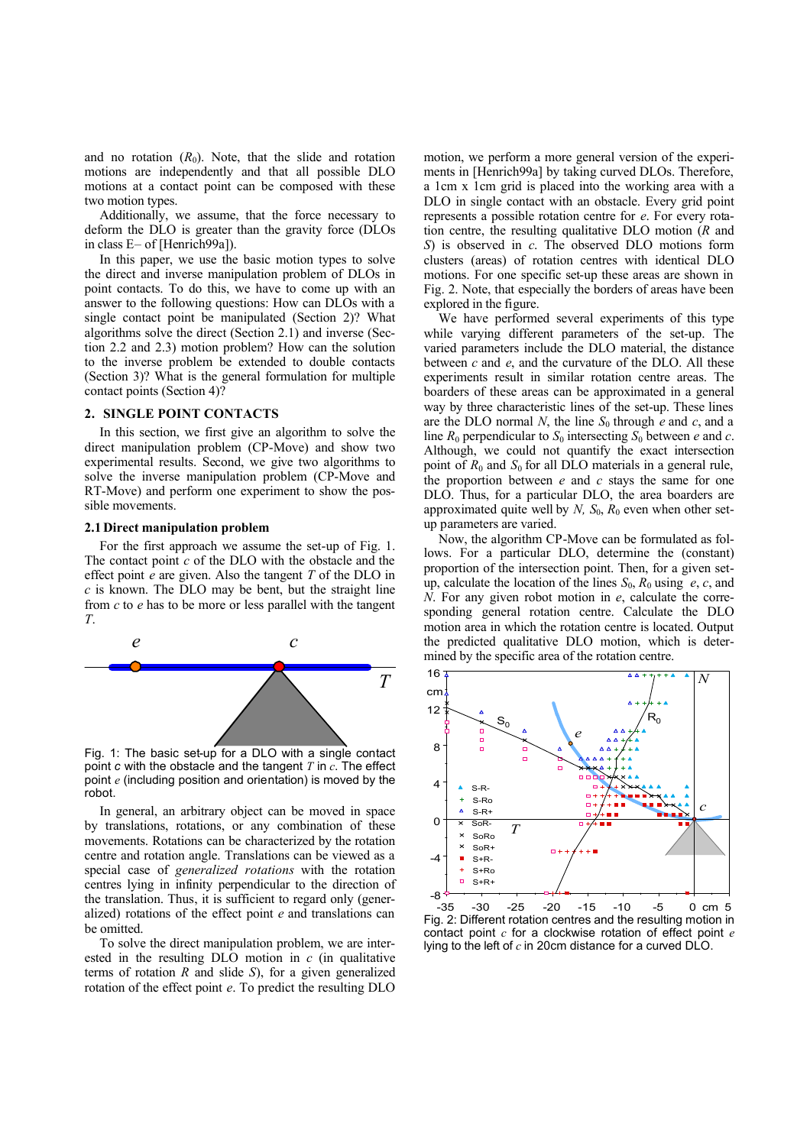and no rotation  $(R_0)$ . Note, that the slide and rotation motions are independently and that all possible DLO motions at a contact point can be composed with these two motion types.

Additionally, we assume, that the force necessary to deform the DLO is greater than the gravity force (DLOs in class E– of [Henrich99a]).

In this paper, we use the basic motion types to solve the direct and inverse manipulation problem of DLOs in point contacts. To do this, we have to come up with an answer to the following questions: How can DLOs with a single contact point be manipulated (Section 2)? What algorithms solve the direct (Section 2.1) and inverse (Section 2.2 and 2.3) motion problem? How can the solution to the inverse problem be extended to double contacts (Section 3)? What is the general formulation for multiple contact points (Section 4)?

## **2. SINGLE POINT CONTACTS**

In this section, we first give an algorithm to solve the direct manipulation problem (CP-Move) and show two experimental results. Second, we give two algorithms to solve the inverse manipulation problem (CP-Move and RT-Move) and perform one experiment to show the possible movements.

#### **2.1 Direct manipulation problem**

For the first approach we assume the set-up of Fig. 1. The contact point *c* of the DLO with the obstacle and the effect point *e* are given. Also the tangent *T* of the DLO in *c* is known. The DLO may be bent, but the straight line from *c* to *e* has to be more or less parallel with the tangent *T*.



point *c* with the obstacle and the tangent *T* in *c*. The effect point *e* (including position and orientation) is moved by the robot.

In general, an arbitrary object can be moved in space by translations, rotations, or any combination of these movements. Rotations can be characterized by the rotation centre and rotation angle. Translations can be viewed as a special case of *generalized rotations* with the rotation centres lying in infinity perpendicular to the direction of the translation. Thus, it is sufficient to regard only (generalized) rotations of the effect point *e* and translations can be omitted.

To solve the direct manipulation problem, we are interested in the resulting DLO motion in *c* (in qualitative terms of rotation *R* and slide *S*), for a given generalized rotation of the effect point *e*. To predict the resulting DLO motion, we perform a more general version of the experiments in [Henrich99a] by taking curved DLOs. Therefore, a 1cm x 1cm grid is placed into the working area with a DLO in single contact with an obstacle. Every grid point represents a possible rotation centre for *e*. For every rotation centre, the resulting qualitative DLO motion (*R* and *S*) is observed in *c*. The observed DLO motions form clusters (areas) of rotation centres with identical DLO motions. For one specific set-up these areas are shown in Fig. 2. Note, that especially the borders of areas have been explored in the figure.

We have performed several experiments of this type while varying different parameters of the set-up. The varied parameters include the DLO material, the distance between *c* and *e*, and the curvature of the DLO. All these experiments result in similar rotation centre areas. The boarders of these areas can be approximated in a general way by three characteristic lines of the set-up. These lines are the DLO normal  $N$ , the line  $S_0$  through  $e$  and  $c$ , and a line  $R_0$  perpendicular to  $S_0$  intersecting  $S_0$  between *e* and *c*. Although, we could not quantify the exact intersection point of  $R_0$  and  $S_0$  for all DLO materials in a general rule, the proportion between *e* and *c* stays the same for one DLO. Thus, for a particular DLO, the area boarders are approximated quite well by *N, S*0, *R*0 even when other setup parameters are varied.

Now, the algorithm CP-Move can be formulated as follows. For a particular DLO, determine the (constant) proportion of the intersection point. Then, for a given setup, calculate the location of the lines  $S_0$ ,  $R_0$  using  $e$ ,  $c$ , and *N*. For any given robot motion in *e*, calculate the corresponding general rotation centre. Calculate the DLO motion area in which the rotation centre is located. Output the predicted qualitative DLO motion, which is determined by the specific area of the rotation centre.



 $-35$   $-30$   $-25$   $-20$   $-15$   $-10$   $-5$  0 cm 5 Fig. 2: Different rotation centres and the resulting motion in contact point *c* for a clockwise rotation of effect point *e* lying to the left of *c* in 20cm distance for a curved DLO.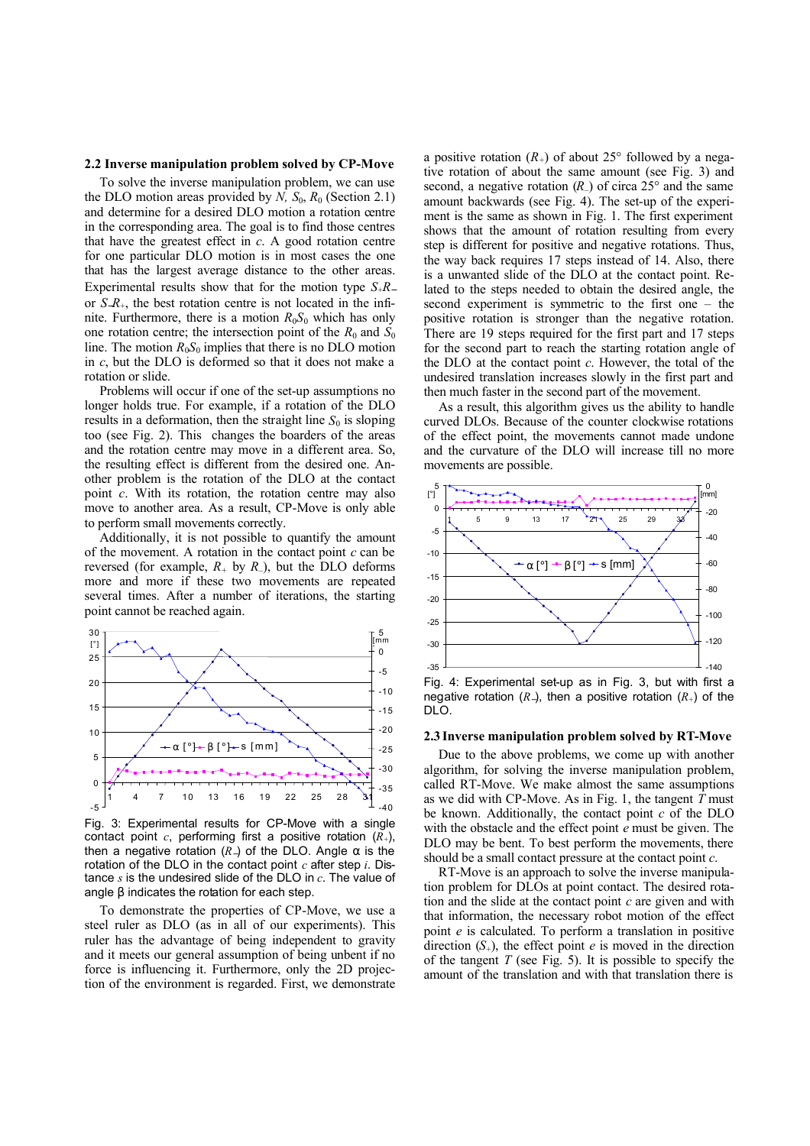## **2.2 Inverse manipulation problem solved by CP-Move**

To solve the inverse manipulation problem, we can use the DLO motion areas provided by *N*,  $S_0$ ,  $R_0$  (Section 2.1) and determine for a desired DLO motion a rotation centre in the corresponding area. The goal is to find those centres that have the greatest effect in *c*. A good rotation centre for one particular DLO motion is in most cases the one that has the largest average distance to the other areas. Experimental results show that for the motion type *S*+*R*<sup>−</sup> or *S*−*R*+, the best rotation centre is not located in the infinite. Furthermore, there is a motion  $R_0S_0$  which has only one rotation centre; the intersection point of the  $R_0$  and  $S_0$ line. The motion  $R_0S_0$  implies that there is no DLO motion in *c*, but the DLO is deformed so that it does not make a rotation or slide.

Problems will occur if one of the set-up assumptions no longer holds true. For example, if a rotation of the DLO results in a deformation, then the straight line  $S_0$  is sloping too (see Fig. 2). This changes the boarders of the areas and the rotation centre may move in a different area. So, the resulting effect is different from the desired one. Another problem is the rotation of the DLO at the contact point *c*. With its rotation, the rotation centre may also move to another area. As a result, CP-Move is only able to perform small movements correctly.

Additionally, it is not possible to quantify the amount of the movement. A rotation in the contact point *c* can be reversed (for example, *R+* by *R–*), but the DLO deforms more and more if these two movements are repeated several times. After a number of iterations, the starting point cannot be reached again.



Fig. 3: Experimental results for CP-Move with a single contact point *c*, performing first a positive rotation (*R*+), then a negative rotation (*R*−) of the DLO. Angle *a* is the rotation of the DLO in the contact point *c* after step *i*. Distance *s* is the undesired slide of the DLO in *c*. The value of angle *b* indicates the rotation for each step.

To demonstrate the properties of CP-Move, we use a steel ruler as DLO (as in all of our experiments). This ruler has the advantage of being independent to gravity and it meets our general assumption of being unbent if no force is influencing it. Furthermore, only the 2D projection of the environment is regarded. First, we demonstrate a positive rotation  $(R<sub>+</sub>)$  of about 25° followed by a negative rotation of about the same amount (see Fig. 3) and second, a negative rotation (*R–*) of circa 25° and the same amount backwards (see Fig. 4). The set-up of the experiment is the same as shown in Fig. 1. The first experiment shows that the amount of rotation resulting from every step is different for positive and negative rotations. Thus, the way back requires 17 steps instead of 14. Also, there is a unwanted slide of the DLO at the contact point. Related to the steps needed to obtain the desired angle, the second experiment is symmetric to the first one – the positive rotation is stronger than the negative rotation. There are 19 steps required for the first part and 17 steps for the second part to reach the starting rotation angle of the DLO at the contact point *c*. However, the total of the undesired translation increases slowly in the first part and then much faster in the second part of the movement.

As a result, this algorithm gives us the ability to handle curved DLOs. Because of the counter clockwise rotations of the effect point, the movements cannot made undone and the curvature of the DLO will increase till no more movements are possible.



Fig. 4: Experimental set-up as in Fig. 3, but with first a negative rotation (*R*−), then a positive rotation (*R*+) of the DLO.

#### **2.3 Inverse manipulation problem solved by RT-Move**

Due to the above problems, we come up with another algorithm, for solving the inverse manipulation problem, called RT-Move. We make almost the same assumptions as we did with CP-Move. As in Fig. 1, the tangent *T* must be known. Additionally, the contact point *c* of the DLO with the obstacle and the effect point *e* must be given. The DLO may be bent. To best perform the movements, there should be a small contact pressure at the contact point *c*.

RT-Move is an approach to solve the inverse manipulation problem for DLOs at point contact. The desired rotation and the slide at the contact point *c* are given and with that information, the necessary robot motion of the effect point *e* is calculated. To perform a translation in positive direction  $(S_+)$ , the effect point *e* is moved in the direction of the tangent  $T$  (see Fig. 5). It is possible to specify the amount of the translation and with that translation there is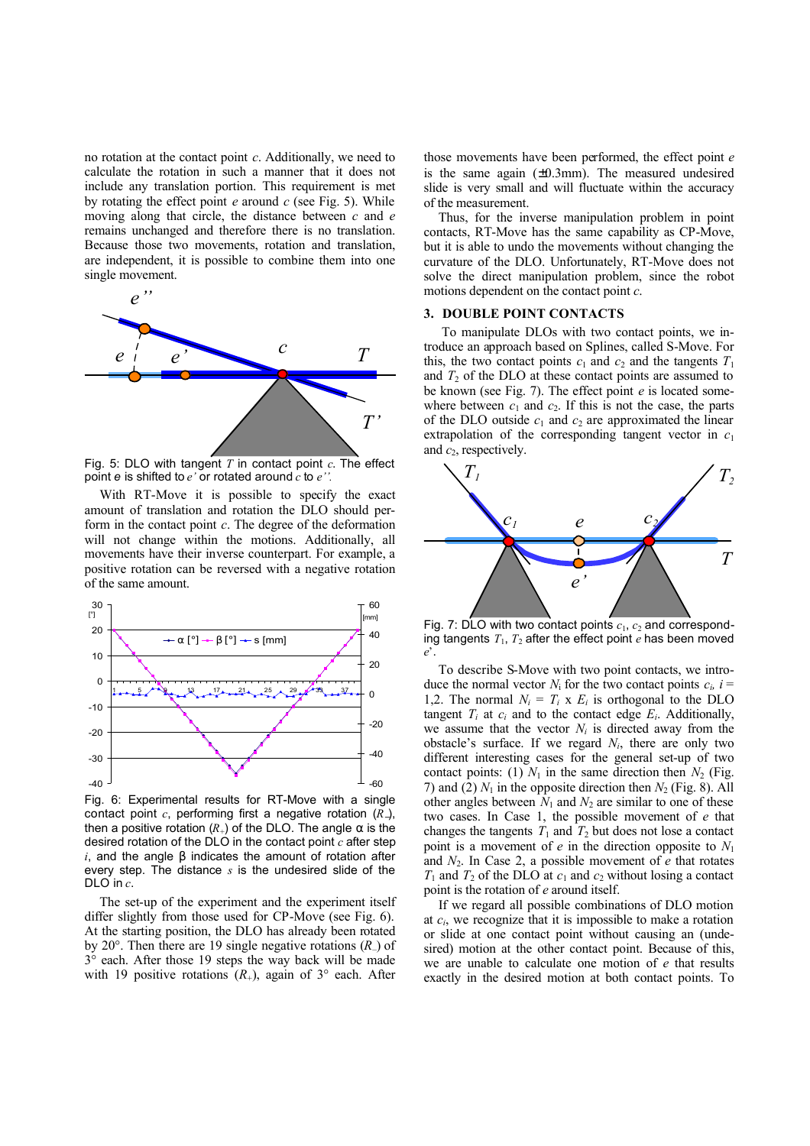no rotation at the contact point *c*. Additionally, we need to calculate the rotation in such a manner that it does not include any translation portion. This requirement is met by rotating the effect point *e* around *c* (see Fig. 5). While moving along that circle, the distance between *c* and *e* remains unchanged and therefore there is no translation. Because those two movements, rotation and translation, are independent, it is possible to combine them into one single movement.



Fig. 5: DLO with tangent *T* in contact point *c*. The effect point *e* is shifted to *e'* or rotated around *c* to *e''.*

With RT-Move it is possible to specify the exact amount of translation and rotation the DLO should perform in the contact point *c*. The degree of the deformation will not change within the motions. Additionally, all movements have their inverse counterpart. For example, a positive rotation can be reversed with a negative rotation of the same amount.



Fig. 6: Experimental results for RT-Move with a single contact point *c*, performing first a negative rotation (*R*−), then a positive rotation  $(R<sub>+</sub>)$  of the DLO. The angle  $a$  is the desired rotation of the DLO in the contact point *c* after step *i*, and the angle *b* indicates the amount of rotation after every step. The distance *s* is the undesired slide of the DLO in *c*.

The set-up of the experiment and the experiment itself differ slightly from those used for CP-Move (see Fig. 6). At the starting position, the DLO has already been rotated by 20°. Then there are 19 single negative rotations (*R–*) of  $3^{\circ}$  each. After those 19 steps the way back will be made with 19 positive rotations  $(R_{+})$ , again of 3° each. After those movements have been performed, the effect point *e* is the same again  $(\pm 0.3$ mm). The measured undesired slide is very small and will fluctuate within the accuracy of the measurement.

Thus, for the inverse manipulation problem in point contacts, RT-Move has the same capability as CP-Move, but it is able to undo the movements without changing the curvature of the DLO. Unfortunately, RT-Move does not solve the direct manipulation problem, since the robot motions dependent on the contact point *c*.

## **3. DOUBLE POINT CONTACTS**

To manipulate DLOs with two contact points, we introduce an approach based on Splines, called S-Move. For this, the two contact points  $c_1$  and  $c_2$  and the tangents  $T_1$ and  $T_2$  of the DLO at these contact points are assumed to be known (see Fig. 7). The effect point *e* is located somewhere between  $c_1$  and  $c_2$ . If this is not the case, the parts of the DLO outside  $c_1$  and  $c_2$  are approximated the linear extrapolation of the corresponding tangent vector in *c*<sup>1</sup> and  $c_2$ , respectively.



Fig. 7: DLO with two contact points  $c_1$ ,  $c_2$  and corresponding tangents  $T_1$ ,  $T_2$  after the effect point  $e$  has been moved *e*'.

To describe S-Move with two point contacts, we introduce the normal vector  $N_i$  for the two contact points  $c_i$ ,  $i =$ 1,2. The normal  $N_i = T_i \times E_i$  is orthogonal to the DLO tangent  $T_i$  at  $c_i$  and to the contact edge  $E_i$ . Additionally, we assume that the vector  $N_i$  is directed away from the obstacle's surface. If we regard  $N_i$ , there are only two different interesting cases for the general set-up of two contact points: (1)  $N_1$  in the same direction then  $N_2$  (Fig. 7) and (2)  $N_1$  in the opposite direction then  $N_2$  (Fig. 8). All other angles between  $N_1$  and  $N_2$  are similar to one of these two cases. In Case 1, the possible movement of *e* that changes the tangents  $T_1$  and  $T_2$  but does not lose a contact point is a movement of *e* in the direction opposite to *N*<sup>1</sup> and *N*2. In Case 2, a possible movement of *e* that rotates  $T_1$  and  $T_2$  of the DLO at  $c_1$  and  $c_2$  without losing a contact point is the rotation of *e* around itself.

If we regard all possible combinations of DLO motion at  $c_i$ , we recognize that it is impossible to make a rotation or slide at one contact point without causing an (undesired) motion at the other contact point. Because of this, we are unable to calculate one motion of *e* that results exactly in the desired motion at both contact points. To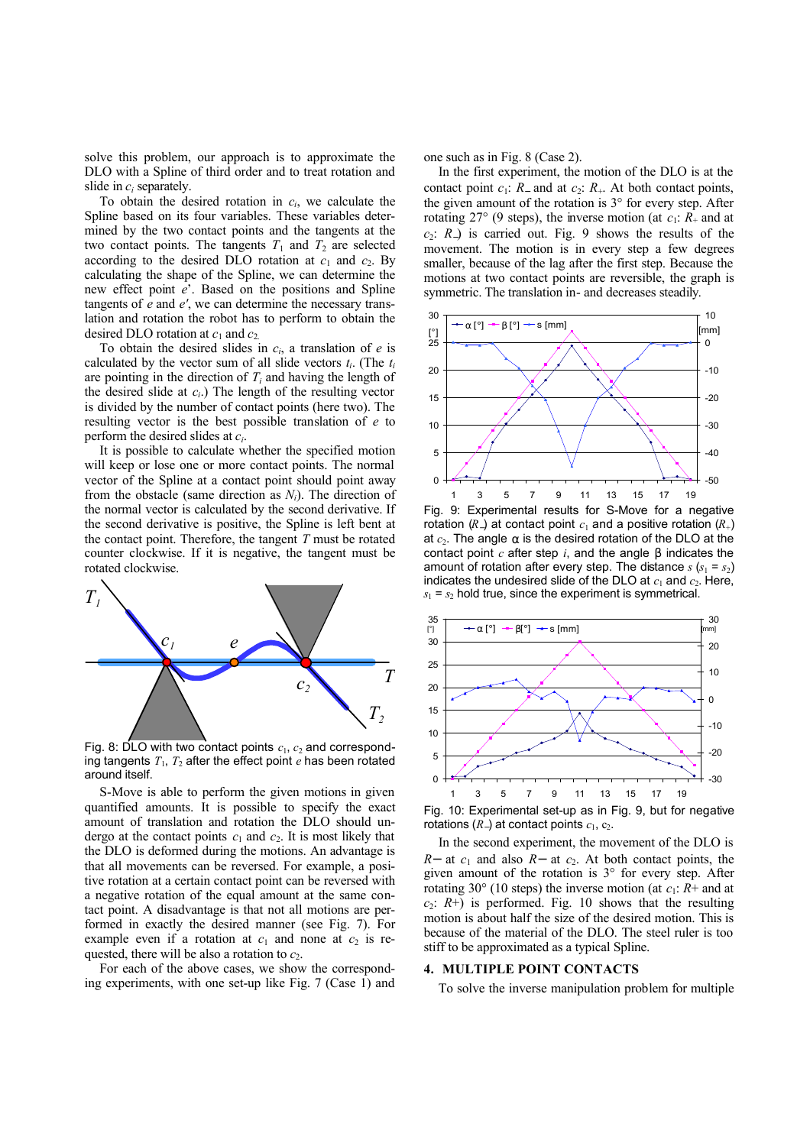solve this problem, our approach is to approximate the DLO with a Spline of third order and to treat rotation and slide in  $c_i$  separately.

To obtain the desired rotation in *ci*, we calculate the Spline based on its four variables. These variables determined by the two contact points and the tangents at the two contact points. The tangents  $T_1$  and  $T_2$  are selected according to the desired DLO rotation at  $c_1$  and  $c_2$ . By calculating the shape of the Spline, we can determine the new effect point *e*'. Based on the positions and Spline tangents of *e* and *e'*, we can determine the necessary translation and rotation the robot has to perform to obtain the desired DLO rotation at  $c_1$  and  $c_2$ .

To obtain the desired slides in *ci*, a translation of *e* is calculated by the vector sum of all slide vectors  $t_i$ . (The  $t_i$ are pointing in the direction of  $T_i$  and having the length of the desired slide at  $c_i$ .) The length of the resulting vector is divided by the number of contact points (here two). The resulting vector is the best possible translation of *e* to perform the desired slides at *c<sup>i</sup>* .

It is possible to calculate whether the specified motion will keep or lose one or more contact points. The normal vector of the Spline at a contact point should point away from the obstacle (same direction as *Ni*). The direction of the normal vector is calculated by the second derivative. If the second derivative is positive, the Spline is left bent at the contact point. Therefore, the tangent *T* must be rotated counter clockwise. If it is negative, the tangent must be rotated clockwise.



Fig. 8: DLO with two contact points  $c_1$ ,  $c_2$  and corresponding tangents  $T_1$ ,  $T_2$  after the effect point  $e$  has been rotated around itself.

S-Move is able to perform the given motions in given quantified amounts. It is possible to specify the exact amount of translation and rotation the DLO should undergo at the contact points  $c_1$  and  $c_2$ . It is most likely that the DLO is deformed during the motions. An advantage is that all movements can be reversed. For example, a positive rotation at a certain contact point can be reversed with a negative rotation of the equal amount at the same contact point. A disadvantage is that not all motions are performed in exactly the desired manner (see Fig. 7). For example even if a rotation at  $c_1$  and none at  $c_2$  is requested, there will be also a rotation to  $c_2$ .

For each of the above cases, we show the corresponding experiments, with one set-up like Fig. 7 (Case 1) and one such as in Fig. 8 (Case 2).

In the first experiment, the motion of the DLO is at the contact point *c*<sub>1</sub>: *R*<sub>−</sub> and at *c*<sub>2</sub>: *R*<sub>+</sub>. At both contact points, the given amount of the rotation is 3° for every step. After rotating 27 $\degree$  (9 steps), the inverse motion (at  $c_1$ :  $R_+$  and at *c*<sub>2</sub>: *R*−) is carried out. Fig. 9 shows the results of the movement. The motion is in every step a few degrees smaller, because of the lag after the first step. Because the motions at two contact points are reversible, the graph is symmetric. The translation in- and decreases steadily.



Fig. 9: Experimental results for S-Move for a negative rotation  $(R_-)$  at contact point  $c_1$  and a positive rotation  $(R_+)$ at *c*2. The angle *a* is the desired rotation of the DLO at the contact point *c* after step *i*, and the angle *b* indicates the amount of rotation after every step. The distance  $s$  ( $s_1 = s_2$ ) indicates the undesired slide of the DLO at  $c_1$  and  $c_2$ . Here,  $s_1 = s_2$  hold true, since the experiment is symmetrical.



Fig. 10: Experimental set-up as in Fig. 9, but for negative rotations  $(R_$ ) at contact points  $c_1$ ,  $c_2$ .

In the second experiment, the movement of the DLO is *R*− at *c*1 and also *R*− at *c*2. At both contact points, the given amount of the rotation is 3° for every step. After rotating 30 $^{\circ}$  (10 steps) the inverse motion (at  $c_1$ :  $R+$  and at  $c_2$ :  $R+$ ) is performed. Fig. 10 shows that the resulting motion is about half the size of the desired motion. This is because of the material of the DLO. The steel ruler is too stiff to be approximated as a typical Spline.

### **4. MULTIPLE POINT CONTACTS**

To solve the inverse manipulation problem for multiple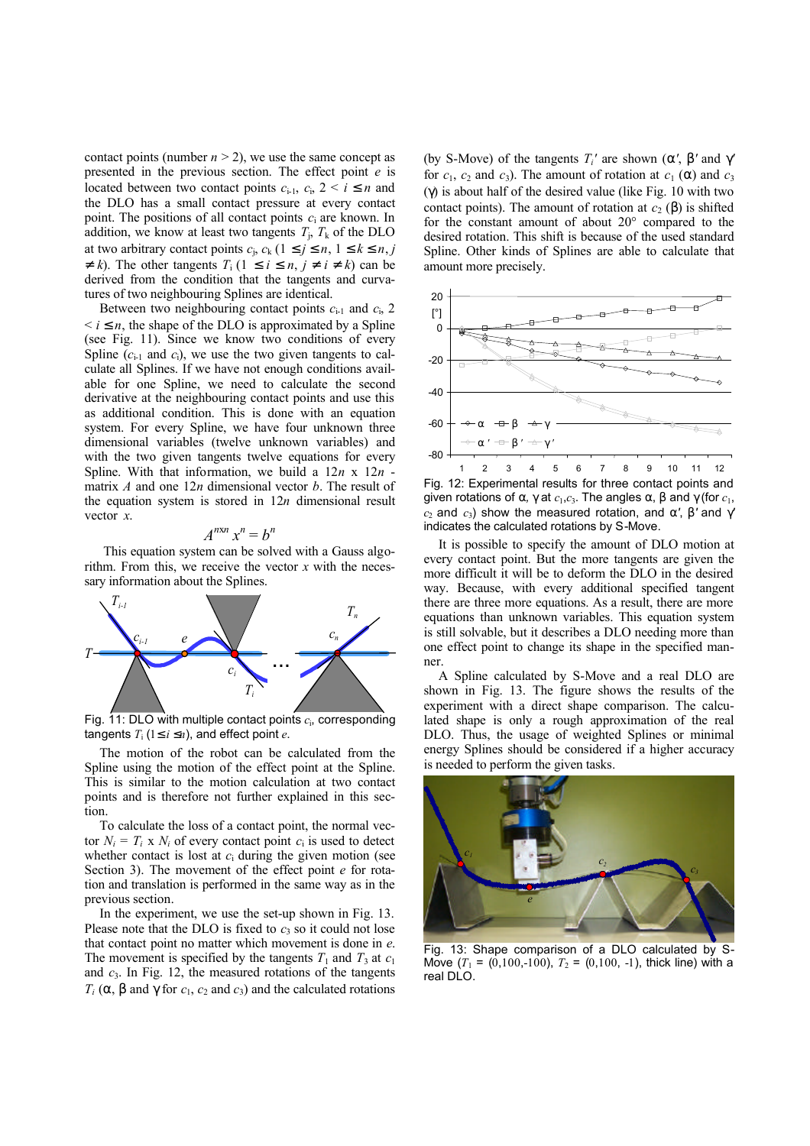contact points (number  $n > 2$ ), we use the same concept as presented in the previous section. The effect point *e* is located between two contact points  $c_{i-1}$ ,  $c_i$ ,  $2 \le i \le n$  and the DLO has a small contact pressure at every contact point. The positions of all contact points *c*i are known. In addition, we know at least two tangents  $T_i$ ,  $T_k$  of the DLO at two arbitrary contact points  $c_j$ ,  $c_k$  ( $1 \le j \le n$ ,  $1 \le k \le n$ , *j*  $\neq k$ ). The other tangents  $T_i$  ( $1 \leq i \leq n$ ,  $j \neq i \neq k$ ) can be derived from the condition that the tangents and curvatures of two neighbouring Splines are identical.

Between two neighbouring contact points  $c_{i-1}$  and  $c_i$ , 2  $\leq i \leq n$ , the shape of the DLO is approximated by a Spline (see Fig. 11). Since we know two conditions of every Spline  $(c_{i-1}$  and  $c_i$ ), we use the two given tangents to calculate all Splines. If we have not enough conditions available for one Spline, we need to calculate the second derivative at the neighbouring contact points and use this as additional condition. This is done with an equation system. For every Spline, we have four unknown three dimensional variables (twelve unknown variables) and with the two given tangents twelve equations for every Spline. With that information, we build a  $12n \times 12n$ matrix *A* and one 12*n* dimensional vector *b*. The result of the equation system is stored in  $12n$  dimensional result vector *x*.

$$
A^{n \times n} x^n = b^n
$$

 This equation system can be solved with a Gauss algorithm. From this, we receive the vector *x* with the necessary information about the Splines.



Fig. 11: DLO with multiple contact points *c*<sup>i</sup> , corresponding tangents  $T_i$  ( $1 \le i \le n$ ), and effect point  $e$ .

The motion of the robot can be calculated from the Spline using the motion of the effect point at the Spline. This is similar to the motion calculation at two contact points and is therefore not further explained in this section.

To calculate the loss of a contact point, the normal vector  $N_i = T_i \times N_i$  of every contact point  $c_i$  is used to detect whether contact is lost at  $c_i$  during the given motion (see Section 3). The movement of the effect point *e* for rotation and translation is performed in the same way as in the previous section.

In the experiment, we use the set-up shown in Fig. 13. Please note that the DLO is fixed to  $c_3$  so it could not lose that contact point no matter which movement is done in *e*. The movement is specified by the tangents  $T_1$  and  $T_3$  at  $c_1$ and *c*3. In Fig. 12, the measured rotations of the tangents  $T_i$  (*a*, *b* and *g* for  $c_1$ ,  $c_2$  and  $c_3$ ) and the calculated rotations

(by S-Move) of the tangents  $T_i'$  are shown  $(a', b'$  and  $g'$ for  $c_1$ ,  $c_2$  and  $c_3$ ). The amount of rotation at  $c_1$  (a) and  $c_3$ (*g*) is about half of the desired value (like Fig. 10 with two contact points). The amount of rotation at  $c_2$  (**b**) is shifted for the constant amount of about 20° compared to the desired rotation. This shift is because of the used standard Spline. Other kinds of Splines are able to calculate that amount more precisely.



Fig. 12: Experimental results for three contact points and given rotations of *a*,  $g$  at  $c_1$ ,  $c_3$ . The angles  $a$ ,  $b$  and  $g$  (for  $c_1$ ,  $c_2$  and  $c_3$ ) show the measured rotation, and *a'*, *b'* and *g'* indicates the calculated rotations by S-Move.

It is possible to specify the amount of DLO motion at every contact point. But the more tangents are given the more difficult it will be to deform the DLO in the desired way. Because, with every additional specified tangent there are three more equations. As a result, there are more equations than unknown variables. This equation system is still solvable, but it describes a DLO needing more than one effect point to change its shape in the specified manner.

A Spline calculated by S-Move and a real DLO are shown in Fig. 13. The figure shows the results of the experiment with a direct shape comparison. The calculated shape is only a rough approximation of the real DLO. Thus, the usage of weighted Splines or minimal energy Splines should be considered if a higher accuracy is needed to perform the given tasks.



Fig. 13: Shape comparison of a DLO calculated by S-Move  $(T_1 = (0,100,-100), T_2 = (0,100,-1),$  thick line) with a real DLO.